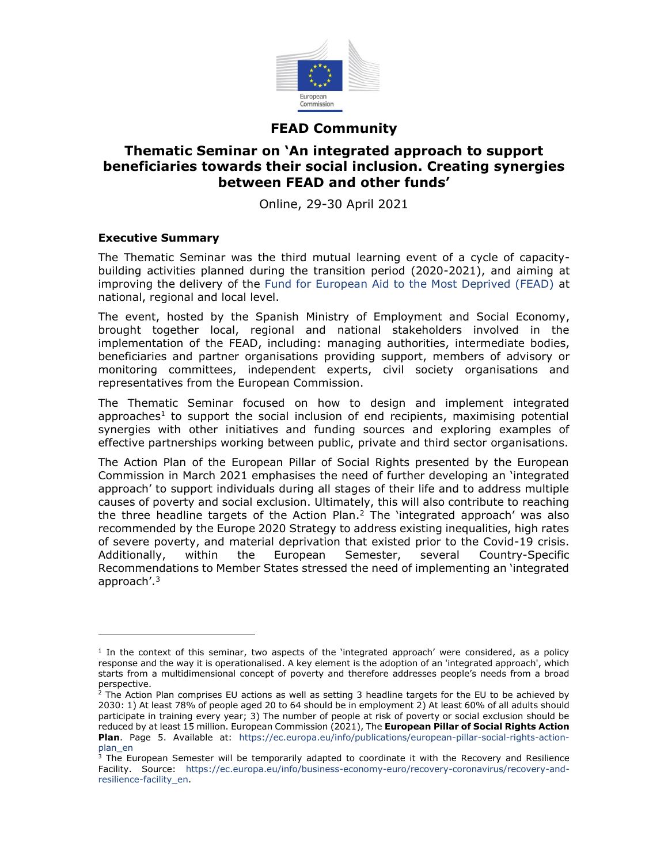

# **FEAD Community**

## **Thematic Seminar on 'An integrated approach to support beneficiaries towards their social inclusion. Creating synergies between FEAD and other funds'**

Online, 29-30 April 2021

### **Executive Summary**

The Thematic Seminar was the third mutual learning event of a cycle of capacitybuilding activities planned during the transition period (2020-2021), and aiming at improving the delivery of the [Fund for European Aid to the Most Deprived \(FEAD\)](https://ec.europa.eu/social/main.jsp?catId=1089&langId=en) at national, regional and local level.

The event, hosted by the Spanish Ministry of Employment and Social Economy, brought together local, regional and national stakeholders involved in the implementation of the FEAD, including: managing authorities, intermediate bodies, beneficiaries and partner organisations providing support, members of advisory or monitoring committees, independent experts, civil society organisations and representatives from the European Commission.

The Thematic Seminar focused on how to design and implement integrated approaches<sup>1</sup> to support the social inclusion of end recipients, maximising potential synergies with other initiatives and funding sources and exploring examples of effective partnerships working between public, private and third sector organisations.

The Action Plan of the European Pillar of Social Rights presented by the European Commission in March 2021 emphasises the need of further developing an 'integrated approach' to support individuals during all stages of their life and to address multiple causes of poverty and social exclusion. Ultimately, this will also contribute to reaching the three headline targets of the Action Plan. $^2$  The `integrated approach' was also recommended by the Europe 2020 Strategy to address existing inequalities, high rates of severe poverty, and material deprivation that existed prior to the Covid-19 crisis. Additionally, within the European Semester, several Country-Specific Recommendations to Member States stressed the need of implementing an 'integrated approach'.<sup>3</sup>

<sup>&</sup>lt;sup>1</sup> In the context of this seminar, two aspects of the 'integrated approach' were considered, as a policy response and the way it is operationalised. A key element is the adoption of an 'integrated approach', which starts from a multidimensional concept of poverty and therefore addresses people's needs from a broad perspective.

 $2$  The Action Plan comprises EU actions as well as setting 3 headline targets for the EU to be achieved by 2030: 1) At least 78% of people aged 20 to 64 should be in employment 2) At least 60% of all adults should participate in training every year; 3) The number of people at risk of poverty or social exclusion should be reduced by at least 15 million. European Commission (2021), The **European Pillar of Social Rights Action Plan**. Page 5. Available at: [https://ec.europa.eu/info/publications/european-pillar-social-rights-action](https://ec.europa.eu/info/publications/european-pillar-social-rights-action-plan_en)[plan\\_en](https://ec.europa.eu/info/publications/european-pillar-social-rights-action-plan_en)

 $3$  The European Semester will be temporarily adapted to coordinate it with the Recovery and Resilience Facility. Source: [https://ec.europa.eu/info/business-economy-euro/recovery-coronavirus/recovery-and](https://ec.europa.eu/info/business-economy-euro/recovery-coronavirus/recovery-and-resilience-facility_en)[resilience-facility\\_en.](https://ec.europa.eu/info/business-economy-euro/recovery-coronavirus/recovery-and-resilience-facility_en)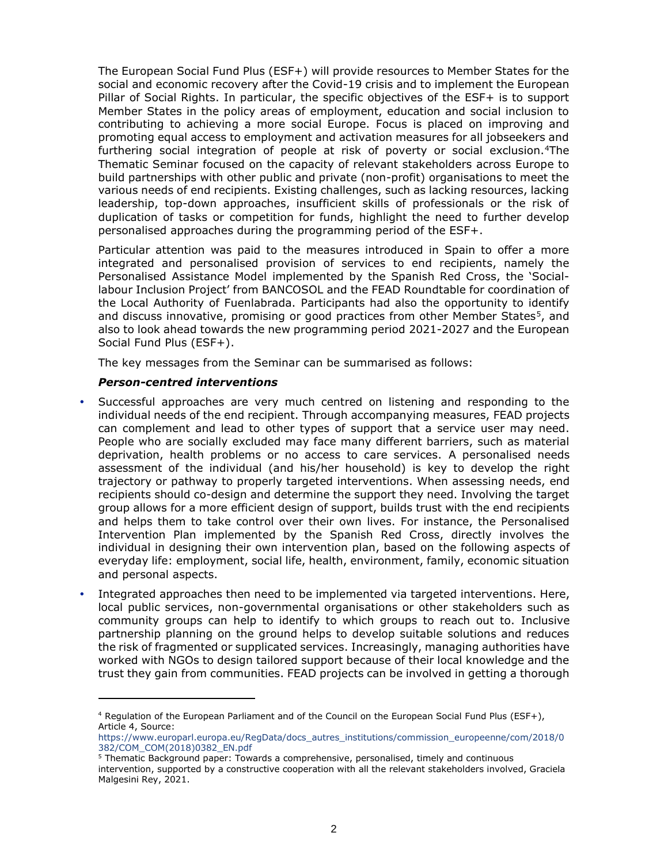The European Social Fund Plus (ESF+) will provide resources to Member States for the social and economic recovery after the Covid-19 crisis and to implement the European Pillar of Social Rights. In particular, the specific objectives of the ESF+ is to support Member States in the policy areas of employment, education and social inclusion to contributing to achieving a more social Europe. Focus is placed on improving and promoting equal access to employment and activation measures for all jobseekers and furthering social integration of people at risk of poverty or social exclusion.<sup>4</sup>The Thematic Seminar focused on the capacity of relevant stakeholders across Europe to build partnerships with other public and private (non-profit) organisations to meet the various needs of end recipients. Existing challenges, such as lacking resources, lacking leadership, top-down approaches, insufficient skills of professionals or the risk of duplication of tasks or competition for funds, highlight the need to further develop personalised approaches during the programming period of the ESF+.

Particular attention was paid to the measures introduced in Spain to offer a more integrated and personalised provision of services to end recipients, namely the Personalised Assistance Model implemented by the Spanish Red Cross, the 'Sociallabour Inclusion Project' from BANCOSOL and the FEAD Roundtable for coordination of the Local Authority of Fuenlabrada. Participants had also the opportunity to identify and discuss innovative, promising or good practices from other Member States<sup>5</sup>, and also to look ahead towards the new programming period 2021-2027 and the European Social Fund Plus (ESF+).

The key messages from the Seminar can be summarised as follows:

#### *Person-centred interventions*

- Successful approaches are very much centred on listening and responding to the individual needs of the end recipient. Through accompanying measures, FEAD projects can complement and lead to other types of support that a service user may need. People who are socially excluded may face many different barriers, such as material deprivation, health problems or no access to care services. A personalised needs assessment of the individual (and his/her household) is key to develop the right trajectory or pathway to properly targeted interventions. When assessing needs, end recipients should co-design and determine the support they need. Involving the target group allows for a more efficient design of support, builds trust with the end recipients and helps them to take control over their own lives. For instance, the Personalised Intervention Plan implemented by the Spanish Red Cross, directly involves the individual in designing their own intervention plan, based on the following aspects of everyday life: employment, social life, health, environment, family, economic situation and personal aspects.
- Integrated approaches then need to be implemented via targeted interventions. Here, local public services, non-governmental organisations or other stakeholders such as community groups can help to identify to which groups to reach out to. Inclusive partnership planning on the ground helps to develop suitable solutions and reduces the risk of fragmented or supplicated services. Increasingly, managing authorities have worked with NGOs to design tailored support because of their local knowledge and the trust they gain from communities. FEAD projects can be involved in getting a thorough

<sup>&</sup>lt;sup>4</sup> Regulation of the European Parliament and of the Council on the European Social Fund Plus (ESF+), Article 4, Source:

[https://www.europarl.europa.eu/RegData/docs\\_autres\\_institutions/commission\\_europeenne/com/2018/0](https://www.europarl.europa.eu/RegData/docs_autres_institutions/commission_europeenne/com/2018/0382/COM_COM(2018)0382_EN.pdf) [382/COM\\_COM\(2018\)0382\\_EN.pdf](https://www.europarl.europa.eu/RegData/docs_autres_institutions/commission_europeenne/com/2018/0382/COM_COM(2018)0382_EN.pdf)

<sup>&</sup>lt;sup>5</sup> Thematic Background paper: Towards a comprehensive, personalised, timely and continuous

intervention, supported by a constructive cooperation with all the relevant stakeholders involved, Graciela Malgesini Rey, 2021.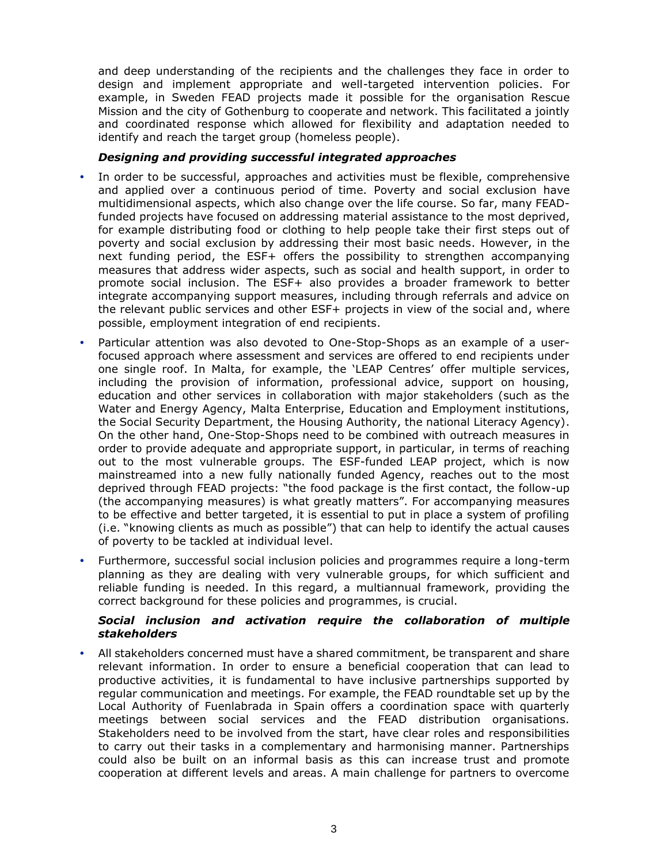and deep understanding of the recipients and the challenges they face in order to design and implement appropriate and well-targeted intervention policies. For example, in Sweden FEAD projects made it possible for the organisation Rescue Mission and the city of Gothenburg to cooperate and network. This facilitated a jointly and coordinated response which allowed for flexibility and adaptation needed to identify and reach the target group (homeless people).

#### *Designing and providing successful integrated approaches*

- In order to be successful, approaches and activities must be flexible, comprehensive and applied over a continuous period of time. Poverty and social exclusion have multidimensional aspects, which also change over the life course. So far, many FEADfunded projects have focused on addressing material assistance to the most deprived, for example distributing food or clothing to help people take their first steps out of poverty and social exclusion by addressing their most basic needs. However, in the next funding period, the ESF+ offers the possibility to strengthen accompanying measures that address wider aspects, such as social and health support, in order to promote social inclusion. The ESF+ also provides a broader framework to better integrate accompanying support measures, including through referrals and advice on the relevant public services and other ESF+ projects in view of the social and, where possible, employment integration of end recipients.
- Particular attention was also devoted to One-Stop-Shops as an example of a userfocused approach where assessment and services are offered to end recipients under one single roof. In Malta, for example, the 'LEAP Centres' offer multiple services, including the provision of information, professional advice, support on housing, education and other services in collaboration with major stakeholders (such as the Water and Energy Agency, Malta Enterprise, Education and Employment institutions, the Social Security Department, the Housing Authority, the national Literacy Agency). On the other hand, One-Stop-Shops need to be combined with outreach measures in order to provide adequate and appropriate support, in particular, in terms of reaching out to the most vulnerable groups. The ESF-funded LEAP project, which is now mainstreamed into a new fully nationally funded Agency, reaches out to the most deprived through FEAD projects: "the food package is the first contact, the follow-up (the accompanying measures) is what greatly matters". For accompanying measures to be effective and better targeted, it is essential to put in place a system of profiling (i.e. "knowing clients as much as possible") that can help to identify the actual causes of poverty to be tackled at individual level.
- Furthermore, successful social inclusion policies and programmes require a long-term planning as they are dealing with very vulnerable groups, for which sufficient and reliable funding is needed. In this regard, a multiannual framework, providing the correct background for these policies and programmes, is crucial.

#### *Social inclusion and activation require the collaboration of multiple stakeholders*

 All stakeholders concerned must have a shared commitment, be transparent and share relevant information. In order to ensure a beneficial cooperation that can lead to productive activities, it is fundamental to have inclusive partnerships supported by regular communication and meetings. For example, the FEAD roundtable set up by the Local Authority of Fuenlabrada in Spain offers a coordination space with quarterly meetings between social services and the FEAD distribution organisations. Stakeholders need to be involved from the start, have clear roles and responsibilities to carry out their tasks in a complementary and harmonising manner. Partnerships could also be built on an informal basis as this can increase trust and promote cooperation at different levels and areas. A main challenge for partners to overcome